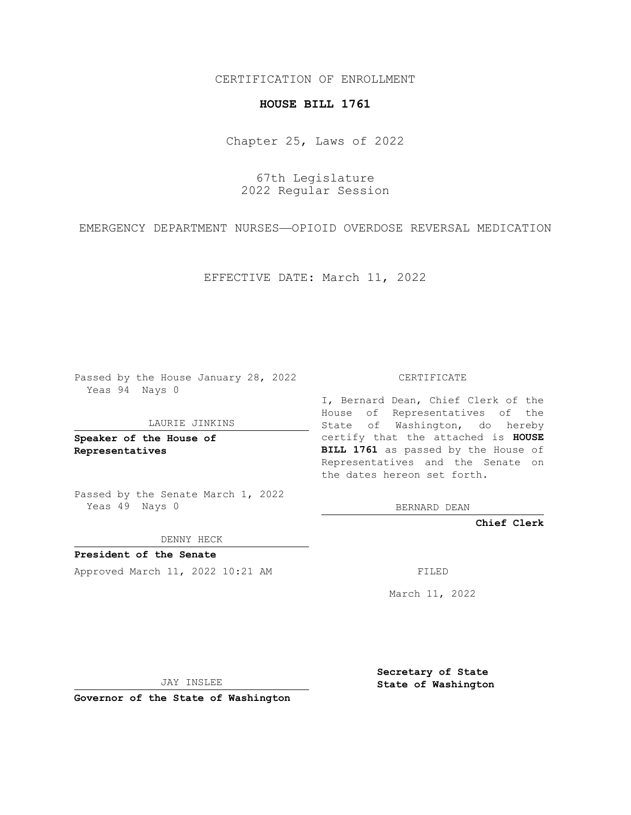CERTIFICATION OF ENROLLMENT

## **HOUSE BILL 1761**

Chapter 25, Laws of 2022

67th Legislature 2022 Regular Session

EMERGENCY DEPARTMENT NURSES—OPIOID OVERDOSE REVERSAL MEDICATION

EFFECTIVE DATE: March 11, 2022

Passed by the House January 28, 2022 Yeas 94 Nays 0

## LAURIE JINKINS

**Speaker of the House of Representatives**

Passed by the Senate March 1, 2022 Yeas 49 Nays 0

DENNY HECK

**President of the Senate** Approved March 11, 2022 10:21 AM FILED

CERTIFICATE

I, Bernard Dean, Chief Clerk of the House of Representatives of the State of Washington, do hereby certify that the attached is **HOUSE BILL 1761** as passed by the House of Representatives and the Senate on the dates hereon set forth.

BERNARD DEAN

**Chief Clerk**

March 11, 2022

JAY INSLEE

**Governor of the State of Washington**

**Secretary of State State of Washington**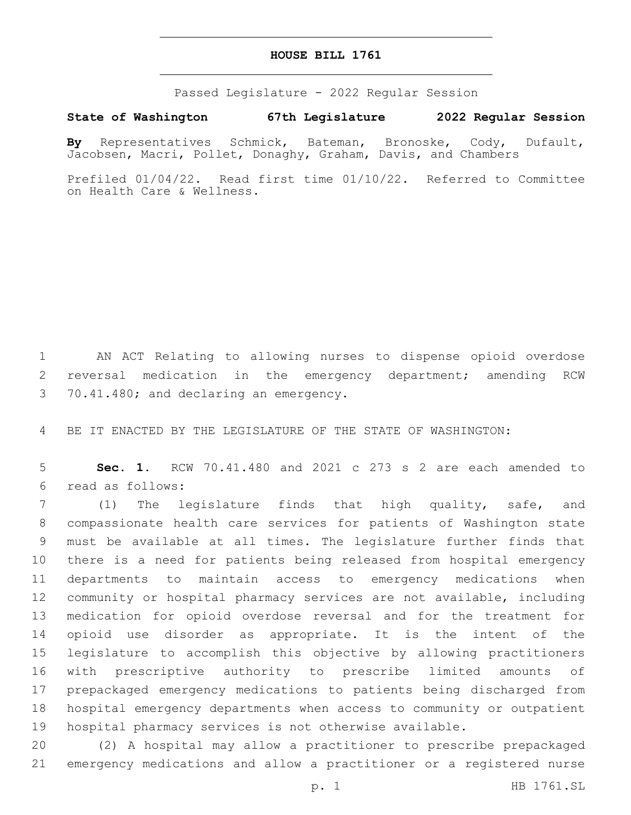## **HOUSE BILL 1761**

Passed Legislature - 2022 Regular Session

## **State of Washington 67th Legislature 2022 Regular Session**

**By** Representatives Schmick, Bateman, Bronoske, Cody, Dufault, Jacobsen, Macri, Pollet, Donaghy, Graham, Davis, and Chambers

Prefiled 01/04/22. Read first time 01/10/22. Referred to Committee on Health Care & Wellness.

 AN ACT Relating to allowing nurses to dispense opioid overdose reversal medication in the emergency department; amending RCW 3 70.41.480; and declaring an emergency.

BE IT ENACTED BY THE LEGISLATURE OF THE STATE OF WASHINGTON:

 **Sec. 1.** RCW 70.41.480 and 2021 c 273 s 2 are each amended to read as follows:6

 (1) The legislature finds that high quality, safe, and compassionate health care services for patients of Washington state must be available at all times. The legislature further finds that there is a need for patients being released from hospital emergency departments to maintain access to emergency medications when community or hospital pharmacy services are not available, including medication for opioid overdose reversal and for the treatment for opioid use disorder as appropriate. It is the intent of the legislature to accomplish this objective by allowing practitioners with prescriptive authority to prescribe limited amounts of prepackaged emergency medications to patients being discharged from hospital emergency departments when access to community or outpatient hospital pharmacy services is not otherwise available.

 (2) A hospital may allow a practitioner to prescribe prepackaged emergency medications and allow a practitioner or a registered nurse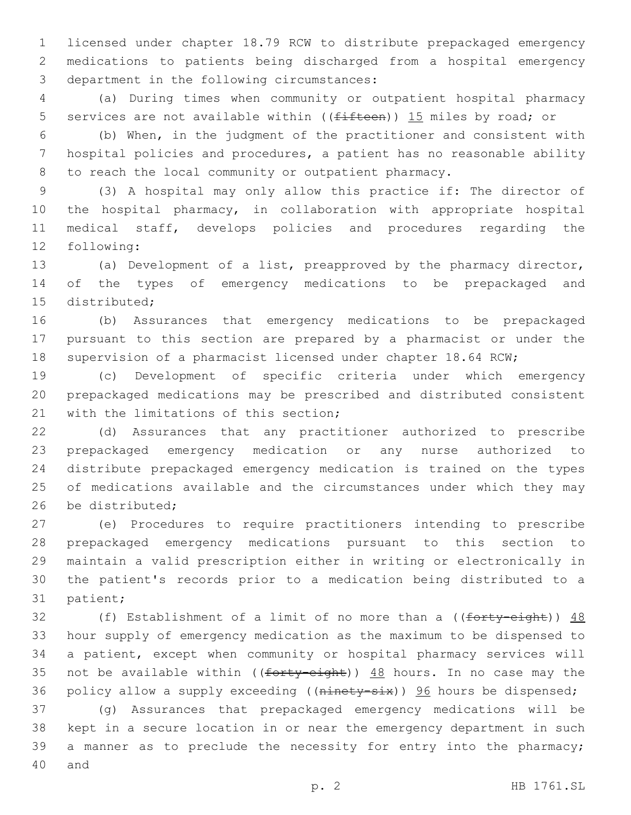licensed under chapter 18.79 RCW to distribute prepackaged emergency medications to patients being discharged from a hospital emergency 3 department in the following circumstances:

 (a) During times when community or outpatient hospital pharmacy 5 services are not available within ((fifteen)) 15 miles by road; or

 (b) When, in the judgment of the practitioner and consistent with hospital policies and procedures, a patient has no reasonable ability to reach the local community or outpatient pharmacy.

 (3) A hospital may only allow this practice if: The director of the hospital pharmacy, in collaboration with appropriate hospital medical staff, develops policies and procedures regarding the 12 following:

 (a) Development of a list, preapproved by the pharmacy director, 14 of the types of emergency medications to be prepackaged and 15 distributed:

 (b) Assurances that emergency medications to be prepackaged pursuant to this section are prepared by a pharmacist or under the supervision of a pharmacist licensed under chapter 18.64 RCW;

 (c) Development of specific criteria under which emergency prepackaged medications may be prescribed and distributed consistent 21 with the limitations of this section;

 (d) Assurances that any practitioner authorized to prescribe prepackaged emergency medication or any nurse authorized to distribute prepackaged emergency medication is trained on the types of medications available and the circumstances under which they may 26 be distributed:

 (e) Procedures to require practitioners intending to prescribe prepackaged emergency medications pursuant to this section to maintain a valid prescription either in writing or electronically in the patient's records prior to a medication being distributed to a 31 patient;

32 (f) Establishment of a limit of no more than a  $((forty-eight))$   $\frac{48}{1}$  hour supply of emergency medication as the maximum to be dispensed to a patient, except when community or hospital pharmacy services will 35 not be available within ( $(forty-eight)$ )  $48$  hours. In no case may the 36 policy allow a supply exceeding ((ninety-six)) 96 hours be dispensed;

 (g) Assurances that prepackaged emergency medications will be kept in a secure location in or near the emergency department in such 39 a manner as to preclude the necessity for entry into the pharmacy; 40 and